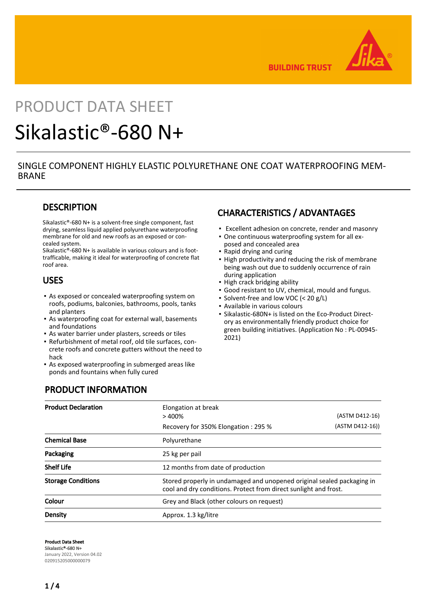

**BUILDING TRUST** 

# PRODUCT DATA SHEET

# Sikalastic®-680 N+

## SINGLE COMPONENT HIGHLY ELASTIC POLYURETHANE ONE COAT WATERPROOFING MEM-BRANE

# **DESCRIPTION**

Sikalastic®-680 N+ is a solvent-free single component, fast drying, seamless liquid applied polyurethane waterproofing membrane for old and new roofs as an exposed or concealed system.

Sikalastic®-680 N+ is available in various colours and is foottrafficable, making it ideal for waterproofing of concrete flat roof area.

## USES

- **-** As exposed or concealed waterproofing system on roofs, podiums, balconies, bathrooms, pools, tanks and planters
- As waterproofing coat for external wall, basements and foundations
- **EXECT:** As water barrier under plasters, screeds or tiles
- Refurbishment of metal roof, old tile surfaces, con-▪ crete roofs and concrete gutters without the need to hack
- As exposed waterproofing in submerged areas like ponds and fountains when fully cured

# CHARACTERISTICS / ADVANTAGES

- **Excellent adhesion on concrete, render and masonry**
- One continuous waterproofing system for all ex-▪ posed and concealed area
- Rapid drying and curing
- **.** High productivity and reducing the risk of membrane being wash out due to suddenly occurrence of rain during application
- High crack bridging ability
- Good resistant to UV, chemical, mould and fungus.
- Solvent-free and low VOC (< 20 g/L)
- Available in various colours
- Sikalastic-680N+ is listed on the Eco-Product Directory as environmentally friendly product choice for green building initiatives. (Application No : PL-00945- 2021)

# PRODUCT INFORMATION

| <b>Product Declaration</b> | Elongation at break                                                                                                                        |                 |  |
|----------------------------|--------------------------------------------------------------------------------------------------------------------------------------------|-----------------|--|
|                            | >400%                                                                                                                                      | (ASTM D412-16)  |  |
|                            | Recovery for 350% Elongation: 295 %                                                                                                        | (ASTM D412-16)) |  |
| <b>Chemical Base</b>       | Polyurethane                                                                                                                               |                 |  |
| Packaging                  | 25 kg per pail                                                                                                                             |                 |  |
| <b>Shelf Life</b>          | 12 months from date of production                                                                                                          |                 |  |
| <b>Storage Conditions</b>  | Stored properly in undamaged and unopened original sealed packaging in<br>cool and dry conditions. Protect from direct sunlight and frost. |                 |  |
| Colour                     | Grey and Black (other colours on request)                                                                                                  |                 |  |
| Density                    | Approx. 1.3 kg/litre                                                                                                                       |                 |  |

Product Data Sheet Sikalastic®-680 N+ January 2022, Version 04.02 020915205000000079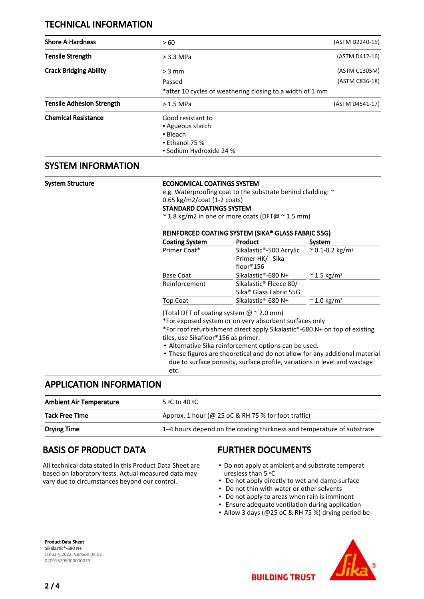# TECHNICAL INFORMATION

| <b>Shore A Hardness</b>          | >60                                                                                                    | (ASTM D2240-15) |
|----------------------------------|--------------------------------------------------------------------------------------------------------|-----------------|
| <b>Tensile Strength</b>          | $>$ 3.3 MPa                                                                                            | (ASTM D412-16)  |
| <b>Crack Bridging Ability</b>    | $>$ 3 mm                                                                                               | (ASTM C1305M)   |
|                                  | Passed                                                                                                 | (ASTM C836-18)  |
|                                  | *after 10 cycles of weathering closing to a width of 1 mm                                              |                 |
| <b>Tensile Adhesion Strength</b> | $>1.5$ MPa                                                                                             | (ASTM D4541-17) |
| <b>Chemical Resistance</b>       | Good resistant to<br>• Agueous starch<br>• Bleach<br>$\bullet$ Ethanol 75 %<br>• Sodium Hydroxide 24 % |                 |

# SYSTEM INFORMATION

### System Structure **ECONOMICAL COATINGS SYSTEM**

e.g. Waterproofing coat to the substrate behind cladding: ~

## 0.65 kg/m2/coat (1-2 coats)

STANDARD COATINGS SYSTEM

~ 1.8 kg/m2 in one or more coats (DFT@ ~ 1.5 mm)

## REINFORCED COATING SYSTEM (SIKA® GLASS FABRIC 55G)

| <b>Coating System</b> | Product                            | System                              |
|-----------------------|------------------------------------|-------------------------------------|
| Primer Coat*          | Sikalastic®-500 Acrylic            | $\approx$ 0.1-0.2 kg/m <sup>2</sup> |
|                       | Primer HK/ Sika-                   |                                     |
|                       | floor®156                          |                                     |
| Base Coat             | Sikalastic®-680 N+                 | $\approx$ 1.5 kg/m <sup>2</sup>     |
| Reinforcement         | Sikalastic <sup>®</sup> Fleece 80/ |                                     |
|                       | Sika <sup>®</sup> Glass Fabric 55G |                                     |
| Top Coat              | Sikalastic®-680 N+                 | $\approx$ 1.0 kg/m <sup>2</sup>     |
|                       |                                    |                                     |

(Total DFT of coating system  $@$   $^{\sim}$  2.0 mm)

\*For exposed system or on very absorbent surfaces only

\*For roof refurbishment direct apply Sikalastic®-680 N+ on top of existing tiles, use Sikafloor®156 as primer.

- **Alternative Sika reinforcement options can be used.**
- These figures are theoretical and do not allow for any additional material due to surface porosity, surface profile, variations in level and wastage etc.

# APPLICATION INFORMATION

| <b>Ambient Air Temperature</b> | 5 °C to 40 °C.                                                         |
|--------------------------------|------------------------------------------------------------------------|
| <b>Tack Free Time</b>          | Approx. 1 hour ( $@$ 25 oC & RH 75 % for foot traffic)                 |
| <b>Drying Time</b>             | 1–4 hours depend on the coating thickness and temperature of substrate |

# BASIS OF PRODUCT DATA

All technical data stated in this Product Data Sheet are based on laboratory tests. Actual measured data may vary due to circumstances beyond our control.

# FURTHER DOCUMENTS

- Do not apply at ambient and substrate temperaturesless than 5 °C
- Do not apply directly to wet and damp surface
- Do not thin with water or other solvents
- Do not apply to areas when rain is imminent
- Ensure adequate ventilation during application
- Allow 3 days (@25 oC & RH 75 %) drying period be-

Product Data Sheet Sikalastic®-680 N+ January 2022, Version 04.02 020915205000000079



**BUILDING TRUST** 

 $2/4$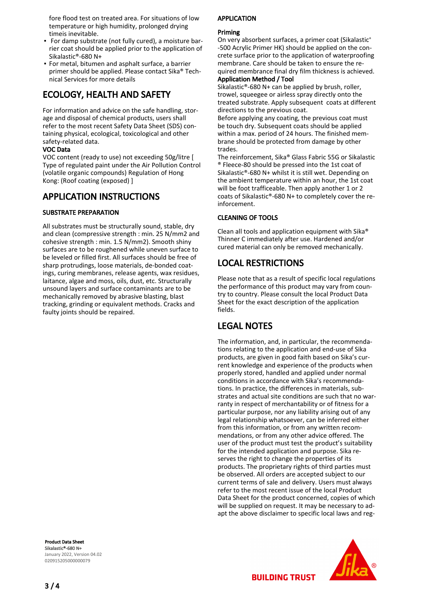fore flood test on treated area. For situations of low temperature or high humidity, prolonged drying timeis inevitable.

- For damp substrate (not fully cured), a moisture bar-▪ rier coat should be applied prior to the application of Sikalastic®-680 N+
- **•** For metal, bitumen and asphalt surface, a barrier primer should be applied. Please contact Sika® Technical Services for more details

# ECOLOGY, HEALTH AND SAFETY

For information and advice on the safe handling, storage and disposal of chemical products, users shall refer to the most recent Safety Data Sheet (SDS) containing physical, ecological, toxicological and other safety-related data.

### VOC Data

VOC content (ready to use) not exceeding 50g/litre [ Type of regulated paint under the Air Pollution Control (volatile organic compounds) Regulation of Hong Kong: (Roof coating (exposed) ]

# APPLICATION INSTRUCTIONS

## SUBSTRATE PREPARATION

All substrates must be structurally sound, stable, dry and clean (compressive strength : min. 25 N/mm2 and cohesive strength : min. 1.5 N/mm2). Smooth shiny surfaces are to be roughened while uneven surface to be leveled or filled first. All surfaces should be free of sharp protrudings, loose materials, de-bonded coatings, curing membranes, release agents, wax residues, laitance, algae and moss, oils, dust, etc. Structurally unsound layers and surface contaminants are to be mechanically removed by abrasive blasting, blast tracking, grinding or equivalent methods. Cracks and faulty joints should be repaired.

#### Product Data Sheet Sikalastic®-680 N+ January 2022, Version 04.02 020915205000000079

APPLICATION

## Priming

On very absorbent surfaces, a primer coat (Sikalastic® -500 Acrylic Primer HK) should be applied on the concrete surface prior to the application of waterproofing membrane. Care should be taken to ensure the required membrance final dry film thickness is achieved. Application Method / Tool

Sikalastic®-680 N+ can be applied by brush, roller, trowel, squeegee or airless spray directly onto the treated substrate. Apply subsequent coats at different directions to the previous coat.

Before applying any coating, the previous coat must be touch dry. Subsequent coats should be applied within a max. period of 24 hours. The finished membrane should be protected from damage by other trades.

The reinforcement, Sika® Glass Fabric 55G or Sikalastic ® Fleece-80 should be pressed into the 1st coat of Sikalastic®-680 N+ whilst it is still wet. Depending on the ambient temperature within an hour, the 1st coat will be foot trafficeable. Then apply another 1 or 2 coats of Sikalastic®-680 N+ to completely cover the reinforcement.

## CLEANING OF TOOLS

Clean all tools and application equipment with Sika® Thinner C immediately after use. Hardened and/or cured material can only be removed mechanically.

# LOCAL RESTRICTIONS

Please note that as a result of specific local regulations the performance of this product may vary from country to country. Please consult the local Product Data Sheet for the exact description of the application fields.

# LEGAL NOTES

The information, and, in particular, the recommendations relating to the application and end-use of Sika products, are given in good faith based on Sika's current knowledge and experience of the products when properly stored, handled and applied under normal conditions in accordance with Sika's recommendations. In practice, the differences in materials, substrates and actual site conditions are such that no warranty in respect of merchantability or of fitness for a particular purpose, nor any liability arising out of any legal relationship whatsoever, can be inferred either from this information, or from any written recommendations, or from any other advice offered. The user of the product must test the product's suitability for the intended application and purpose. Sika reserves the right to change the properties of its products. The proprietary rights of third parties must be observed. All orders are accepted subject to our current terms of sale and delivery. Users must always refer to the most recent issue of the local Product Data Sheet for the product concerned, copies of which will be supplied on request. It may be necessary to adapt the above disclaimer to specific local laws and reg-



**BUILDING TRUST**